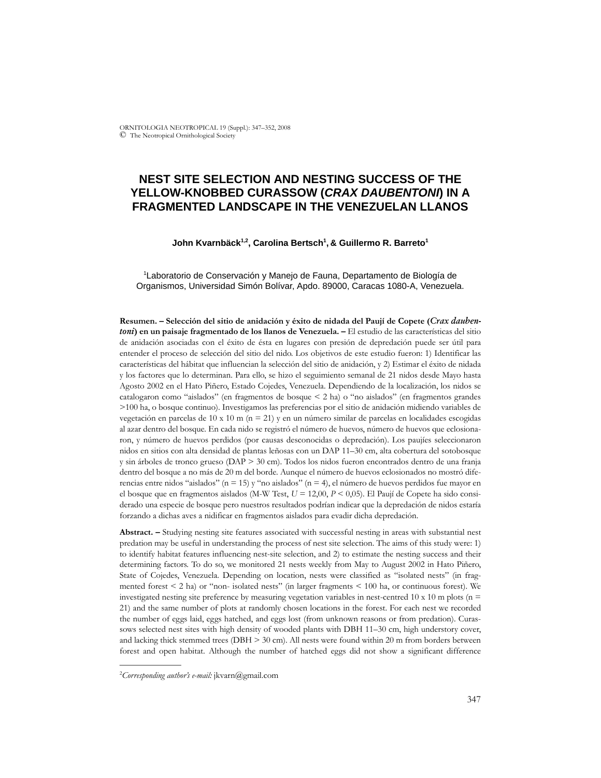ORNITOLOGIA NEOTROPICAL 19 (Suppl.): 347–352, 2008 © The Neotropical Ornithological Society

# **NEST SITE SELECTION AND NESTING SUCCESS OF THE YELLOW-KNOBBED CURASSOW (***CRAX DAUBENTONI***) IN A FRAGMENTED LANDSCAPE IN THE VENEZUELAN LLANOS**

#### **John Kvarnbäck1,2, Carolina Bertsch1 , & Guillermo R. Barreto1**

1 Laboratorio de Conservación y Manejo de Fauna, Departamento de Biología de Organismos, Universidad Simón Bolívar, Apdo. 89000, Caracas 1080-A, Venezuela.

**Resumen. – Selección del sitio de anidación y éxito de nidada del Paují de Copete (***Crax daubentoni***) en un paisaje fragmentado de los llanos de Venezuela. –** El estudio de las características del sitio de anidación asociadas con el éxito de ésta en lugares con presión de depredación puede ser útil para entender el proceso de selección del sitio del nido. Los objetivos de este estudio fueron: 1) Identificar las características del hábitat que influencian la selección del sitio de anidación, y 2) Estimar el éxito de nidada y los factores que lo determinan. Para ello, se hizo el seguimiento semanal de 21 nidos desde Mayo hasta Agosto 2002 en el Hato Piñero, Estado Cojedes, Venezuela. Dependiendo de la localización, los nidos se catalogaron como "aislados" (en fragmentos de bosque < 2 ha) o "no aislados" (en fragmentos grandes >100 ha, o bosque continuo). Investigamos las preferencias por el sitio de anidación midiendo variables de vegetación en parcelas de 10 x 10 m (n = 21) y en un número similar de parcelas en localidades escogidas al azar dentro del bosque. En cada nido se registró el número de huevos, número de huevos que eclosionaron, y número de huevos perdidos (por causas desconocidas o depredación). Los paujíes seleccionaron nidos en sitios con alta densidad de plantas leñosas con un DAP 11–30 cm, alta cobertura del sotobosque y sin árboles de tronco grueso (DAP > 30 cm). Todos los nidos fueron encontrados dentro de una franja dentro del bosque a no más de 20 m del borde. Aunque el número de huevos eclosionados no mostró diferencias entre nidos "aislados" (n = 15) y "no aislados" (n = 4), el número de huevos perdidos fue mayor en el bosque que en fragmentos aislados (M-W Test, *U* = 12,00, *P* < 0,05). El Paují de Copete ha sido considerado una especie de bosque pero nuestros resultados podrían indicar que la depredación de nidos estaría forzando a dichas aves a nidificar en fragmentos aislados para evadir dicha depredación.

**Abstract. –** Studying nesting site features associated with successful nesting in areas with substantial nest predation may be useful in understanding the process of nest site selection. The aims of this study were: 1) to identify habitat features influencing nest-site selection, and 2) to estimate the nesting success and their determining factors. To do so, we monitored 21 nests weekly from May to August 2002 in Hato Piñero, State of Cojedes, Venezuela. Depending on location, nests were classified as "isolated nests" (in fragmented forest < 2 ha) or "non- isolated nests" (in larger fragments < 100 ha, or continuous forest). We investigated nesting site preference by measuring vegetation variables in nest-centred 10 x 10 m plots ( $n =$ 21) and the same number of plots at randomly chosen locations in the forest. For each nest we recorded the number of eggs laid, eggs hatched, and eggs lost (from unknown reasons or from predation). Curassows selected nest sites with high density of wooded plants with DBH 11–30 cm, high understory cover, and lacking thick stemmed trees (DBH  $>$  30 cm). All nests were found within 20 m from borders between forest and open habitat. Although the number of hatched eggs did not show a significant difference

\_\_\_\_\_\_\_\_\_\_\_\_\_\_

<sup>2</sup> *Corresponding author's e-mail:* jkvarn@gmail.com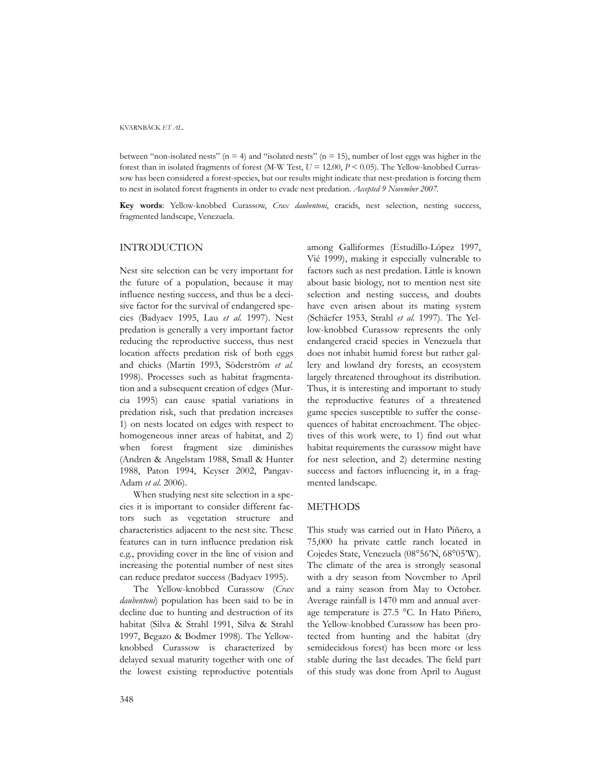KVARNBÄCK *ET AL.*

between "non-isolated nests" (n = 4) and "isolated nests" (n = 15), number of lost eggs was higher in the forest than in isolated fragments of forest (M-W Test, *U* = 12.00, *P* < 0.05). The Yellow-knobbed Currassow has been considered a forest-species, but our results might indicate that nest-predation is forcing them to nest in isolated forest fragments in order to evade nest predation. *Accepted 9 November 2007.*

**Key words**: Yellow-knobbed Curassow, *Crax daubentoni*, cracids, nest selection, nesting success, fragmented landscape, Venezuela.

## INTRODUCTION

Nest site selection can be very important for the future of a population, because it may influence nesting success, and thus be a decisive factor for the survival of endangered species (Badyaev 1995, Lau *et al.* 1997). Nest predation is generally a very important factor reducing the reproductive success, thus nest location affects predation risk of both eggs and chicks (Martin 1993, Söderström *et al.* 1998). Processes such as habitat fragmentation and a subsequent creation of edges (Murcia 1995) can cause spatial variations in predation risk, such that predation increases 1) on nests located on edges with respect to homogeneous inner areas of habitat, and 2) when forest fragment size diminishes (Andren & Angelstam 1988, Small & Hunter 1988, Paton 1994, Keyser 2002, Pangav-Adam *et al*. 2006).

When studying nest site selection in a species it is important to consider different factors such as vegetation structure and characteristics adjacent to the nest site. These features can in turn influence predation risk e.g., providing cover in the line of vision and increasing the potential number of nest sites can reduce predator success (Badyaev 1995).

The Yellow-knobbed Curassow (*Crax daubentoni*) population has been said to be in decline due to hunting and destruction of its habitat (Silva & Strahl 1991, Silva & Strahl 1997, Begazo & Bodmer 1998). The Yellowknobbed Curassow is characterized by delayed sexual maturity together with one of the lowest existing reproductive potentials

among Galliformes (Estudillo-López 1997, Vié 1999), making it especially vulnerable to factors such as nest predation. Little is known about basic biology, not to mention nest site selection and nesting success, and doubts have even arisen about its mating system (Schäefer 1953, Strahl *et al.* 1997). The Yellow-knobbed Curassow represents the only endangered cracid species in Venezuela that does not inhabit humid forest but rather gallery and lowland dry forests, an ecosystem largely threatened throughout its distribution. Thus, it is interesting and important to study the reproductive features of a threatened game species susceptible to suffer the consequences of habitat encroachment. The objectives of this work were, to 1) find out what habitat requirements the curassow might have for nest selection, and 2) determine nesting success and factors influencing it, in a fragmented landscape.

## **METHODS**

This study was carried out in Hato Piñero, a 75,000 ha private cattle ranch located in Cojedes State, Venezuela (08°56'N, 68°05'W). The climate of the area is strongly seasonal with a dry season from November to April and a rainy season from May to October. Average rainfall is 1470 mm and annual average temperature is 27.5 °C. In Hato Piñero, the Yellow-knobbed Curassow has been protected from hunting and the habitat (dry semidecidous forest) has been more or less stable during the last decades. The field part of this study was done from April to August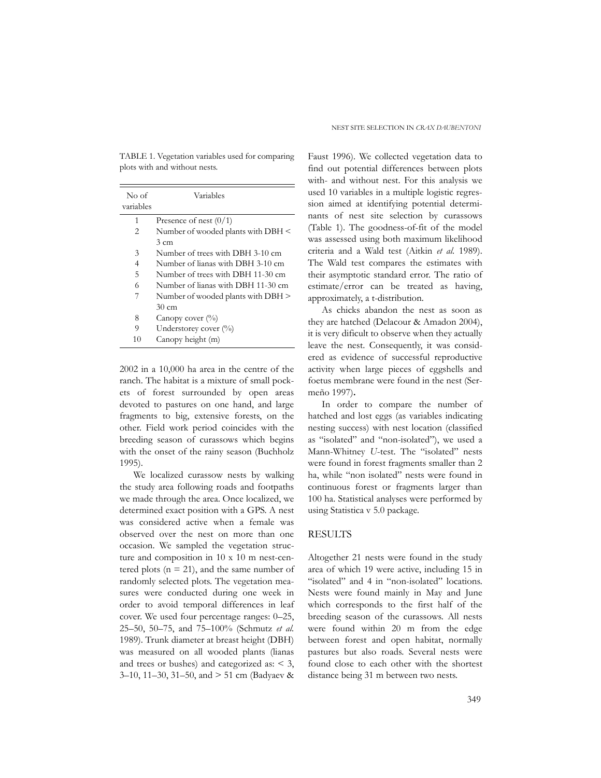TABLE 1. Vegetation variables used for comparing plots with and without nests.

| No of     | Variables                          |
|-----------|------------------------------------|
| variables |                                    |
| 1         | Presence of nest $(0/1)$           |
| 2         | Number of wooded plants with DBH < |
|           | $3 \text{ cm}$                     |
| 3         | Number of trees with DBH 3-10 cm   |
| 4         | Number of lianas with DBH 3-10 cm  |
| 5         | Number of trees with DBH 11-30 cm  |
| 6         | Number of lianas with DBH 11-30 cm |
|           | Number of wooded plants with DBH > |
|           | 30 cm                              |
| 8         | Canopy cover $(\%)$                |
| 9         | Understorey cover (%)              |
| 10        | Canopy height (m)                  |

2002 in a 10,000 ha area in the centre of the ranch. The habitat is a mixture of small pockets of forest surrounded by open areas devoted to pastures on one hand, and large fragments to big, extensive forests, on the other. Field work period coincides with the breeding season of curassows which begins with the onset of the rainy season (Buchholz 1995).

We localized curassow nests by walking the study area following roads and footpaths we made through the area. Once localized, we determined exact position with a GPS. A nest was considered active when a female was observed over the nest on more than one occasion. We sampled the vegetation structure and composition in 10 x 10 m nest-centered plots ( $n = 21$ ), and the same number of randomly selected plots. The vegetation measures were conducted during one week in order to avoid temporal differences in leaf cover. We used four percentage ranges: 0–25, 25–50, 50–75, and 75–100% (Schmutz *et al.* 1989). Trunk diameter at breast height (DBH) was measured on all wooded plants (lianas and trees or bushes) and categorized as: < 3, 3–10, 11–30, 31–50, and > 51 cm (Badyaev &

Faust 1996). We collected vegetation data to find out potential differences between plots with- and without nest. For this analysis we used 10 variables in a multiple logistic regression aimed at identifying potential determinants of nest site selection by curassows (Table 1). The goodness-of-fit of the model was assessed using both maximum likelihood criteria and a Wald test (Aitkin *et al.* 1989). The Wald test compares the estimates with their asymptotic standard error. The ratio of estimate/error can be treated as having, approximately, a t-distribution.

As chicks abandon the nest as soon as they are hatched (Delacour & Amadon 2004), it is very dificult to observe when they actually leave the nest. Consequently, it was considered as evidence of successful reproductive activity when large pieces of eggshells and foetus membrane were found in the nest (Sermeño 1997)**.**

In order to compare the number of hatched and lost eggs (as variables indicating nesting success) with nest location (classified as "isolated" and "non-isolated"), we used a Mann-Whitney *U*-test. The "isolated" nests were found in forest fragments smaller than 2 ha, while "non isolated" nests were found in continuous forest or fragments larger than 100 ha. Statistical analyses were performed by using Statistica v 5.0 package.

#### RESULTS

Altogether 21 nests were found in the study area of which 19 were active, including 15 in "isolated" and 4 in "non-isolated" locations. Nests were found mainly in May and June which corresponds to the first half of the breeding season of the curassows. All nests were found within 20 m from the edge between forest and open habitat, normally pastures but also roads. Several nests were found close to each other with the shortest distance being 31 m between two nests.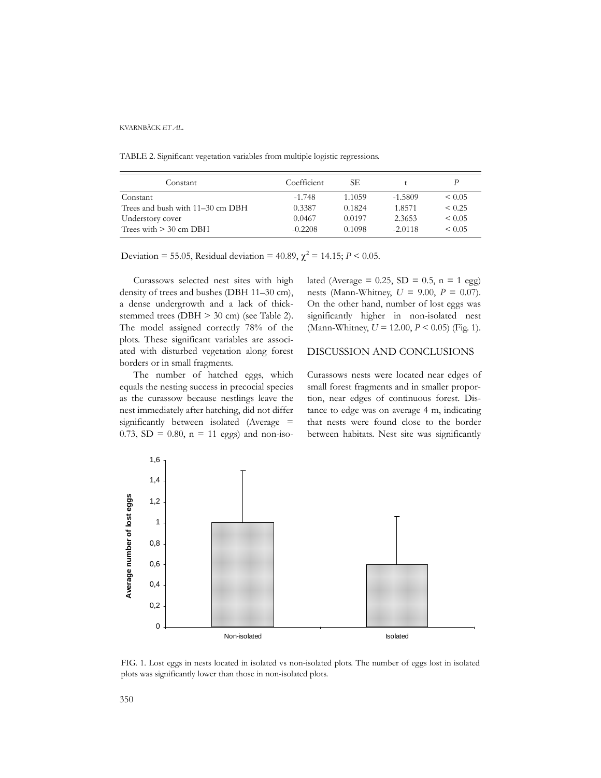KVARNBÄCK *ET AL.*

TABLE 2. Significant vegetation variables from multiple logistic regressions.

| Constant                         | Coefficient | SE.    |           |             |
|----------------------------------|-------------|--------|-----------|-------------|
| Constant                         | $-1.748$    | 1.1059 | $-1.5809$ | ${}_{0.05}$ |
| Trees and bush with 11–30 cm DBH | 0.3387      | 0.1824 | 1.8571    | ${}_{0.25}$ |
| Understory cover                 | 0.0467      | 0.0197 | 2.3653    | $\leq 0.05$ |
| Trees with $>$ 30 cm DBH         | $-0.2208$   | 0.1098 | $-2.0118$ | $\leq 0.05$ |

Deviation = 55.05, Residual deviation = 40.89,  $\chi^2$  = 14.15; *P* < 0.05.

Curassows selected nest sites with high density of trees and bushes (DBH 11–30 cm), a dense undergrowth and a lack of thickstemmed trees (DBH > 30 cm) (see Table 2). The model assigned correctly 78% of the plots. These significant variables are associated with disturbed vegetation along forest borders or in small fragments.

The number of hatched eggs, which equals the nesting success in precocial species as the curassow because nestlings leave the nest immediately after hatching, did not differ significantly between isolated (Average = 0.73,  $SD = 0.80$ ,  $n = 11$  eggs) and non-isolated (Average =  $0.25$ , SD =  $0.5$ , n = 1 egg) nests (Mann-Whitney, *U* = 9.00, *P* = 0.07). On the other hand, number of lost eggs was significantly higher in non-isolated nest (Mann-Whitney, *U* = 12.00, *P* < 0.05) (Fig. 1).

## DISCUSSION AND CONCLUSIONS

Curassows nests were located near edges of small forest fragments and in smaller proportion, near edges of continuous forest. Distance to edge was on average 4 m, indicating that nests were found close to the border between habitats. Nest site was significantly



FIG. 1. Lost eggs in nests located in isolated vs non-isolated plots. The number of eggs lost in isolated plots was significantly lower than those in non-isolated plots.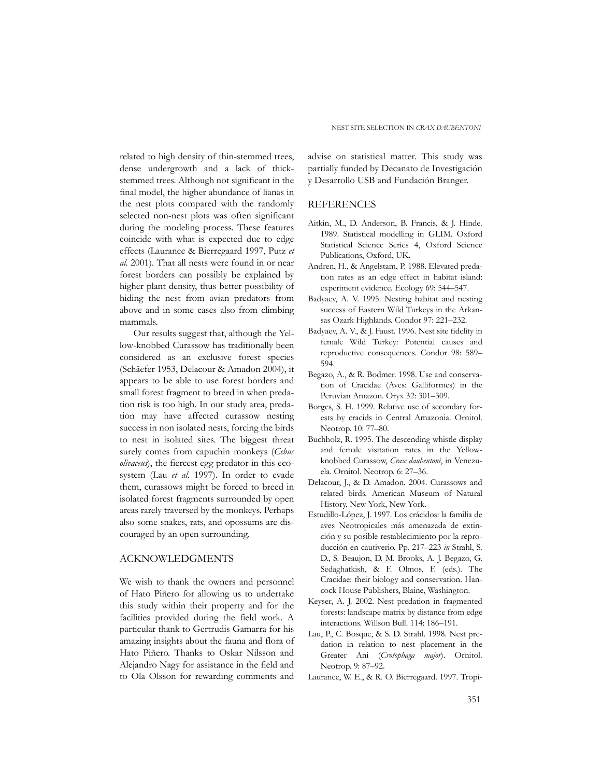related to high density of thin-stemmed trees, dense undergrowth and a lack of thickstemmed trees. Although not significant in the final model, the higher abundance of lianas in the nest plots compared with the randomly selected non-nest plots was often significant during the modeling process. These features coincide with what is expected due to edge effects (Laurance & Bierregaard 1997, Putz *et al*. 2001). That all nests were found in or near forest borders can possibly be explained by higher plant density, thus better possibility of hiding the nest from avian predators from above and in some cases also from climbing mammals.

Our results suggest that, although the Yellow-knobbed Curassow has traditionally been considered as an exclusive forest species (Schäefer 1953, Delacour & Amadon 2004), it appears to be able to use forest borders and small forest fragment to breed in when predation risk is too high. In our study area, predation may have affected curassow nesting success in non isolated nests, forcing the birds to nest in isolated sites. The biggest threat surely comes from capuchin monkeys (*Cebus olivaceus*), the fiercest egg predator in this ecosystem (Lau *et al.* 1997). In order to evade them, curassows might be forced to breed in isolated forest fragments surrounded by open areas rarely traversed by the monkeys. Perhaps also some snakes, rats, and opossums are discouraged by an open surrounding.

## ACKNOWLEDGMENTS

We wish to thank the owners and personnel of Hato Piñero for allowing us to undertake this study within their property and for the facilities provided during the field work. A particular thank to Gertrudis Gamarra for his amazing insights about the fauna and flora of Hato Piñero. Thanks to Oskar Nilsson and Alejandro Nagy for assistance in the field and to Ola Olsson for rewarding comments and

advise on statistical matter. This study was partially funded by Decanato de Investigación y Desarrollo USB and Fundación Branger.

### REFERENCES

- Aitkin, M., D. Anderson, B. Francis, & J. Hinde. 1989. Statistical modelling in GLIM. Oxford Statistical Science Series 4, Oxford Science Publications, Oxford, UK.
- Andren, H., & Angelstam, P. 1988. Elevated predation rates as an edge effect in habitat island: experiment evidence. Ecology 69: 544–547.
- Badyaev, A. V. 1995. Nesting habitat and nesting success of Eastern Wild Turkeys in the Arkansas Ozark Highlands. Condor 97: 221–232.
- Badyaev, A. V., & J. Faust. 1996. Nest site fidelity in female Wild Turkey: Potential causes and reproductive consequences. Condor 98: 589– 594.
- Begazo, A., & R. Bodmer. 1998. Use and conservation of Cracidae (Aves: Galliformes) in the Peruvian Amazon. Oryx 32: 301–309.
- Borges, S. H. 1999. Relative use of secondary forests by cracids in Central Amazonia. Ornitol. Neotrop. 10: 77–80.
- Buchholz, R. 1995. The descending whistle display and female visitation rates in the Yellowknobbed Curassow, *Crax daubentoni*, in Venezuela. Ornitol. Neotrop. 6: 27–36.
- Delacour, J., & D. Amadon. 2004. Curassows and related birds. American Museum of Natural History, New York, New York.
- Estudillo-López, J. 1997. Los crácidos: la familia de aves Neotropicales más amenazada de extinción y su posible restablecimiento por la reproducción en cautiverio. Pp. 217–223 *in* Strahl, S. D., S. Beaujon, D. M. Brooks, A. J. Begazo, G. Sedaghatkish, & F. Olmos, F. (eds.). The Cracidae: their biology and conservation. Hancock House Publishers, Blaine, Washington.
- Keyser, A. J. 2002. Nest predation in fragmented forests: landscape matrix by distance from edge interactions. Willson Bull. 114: 186–191.
- Lau, P., C. Bosque, & S. D. Strahl. 1998. Nest predation in relation to nest placement in the Greater Ani (*Crotophaga major*). Ornitol. Neotrop. 9: 87–92.
- Laurance, W. E., & R. O. Bierregaard. 1997. Tropi-